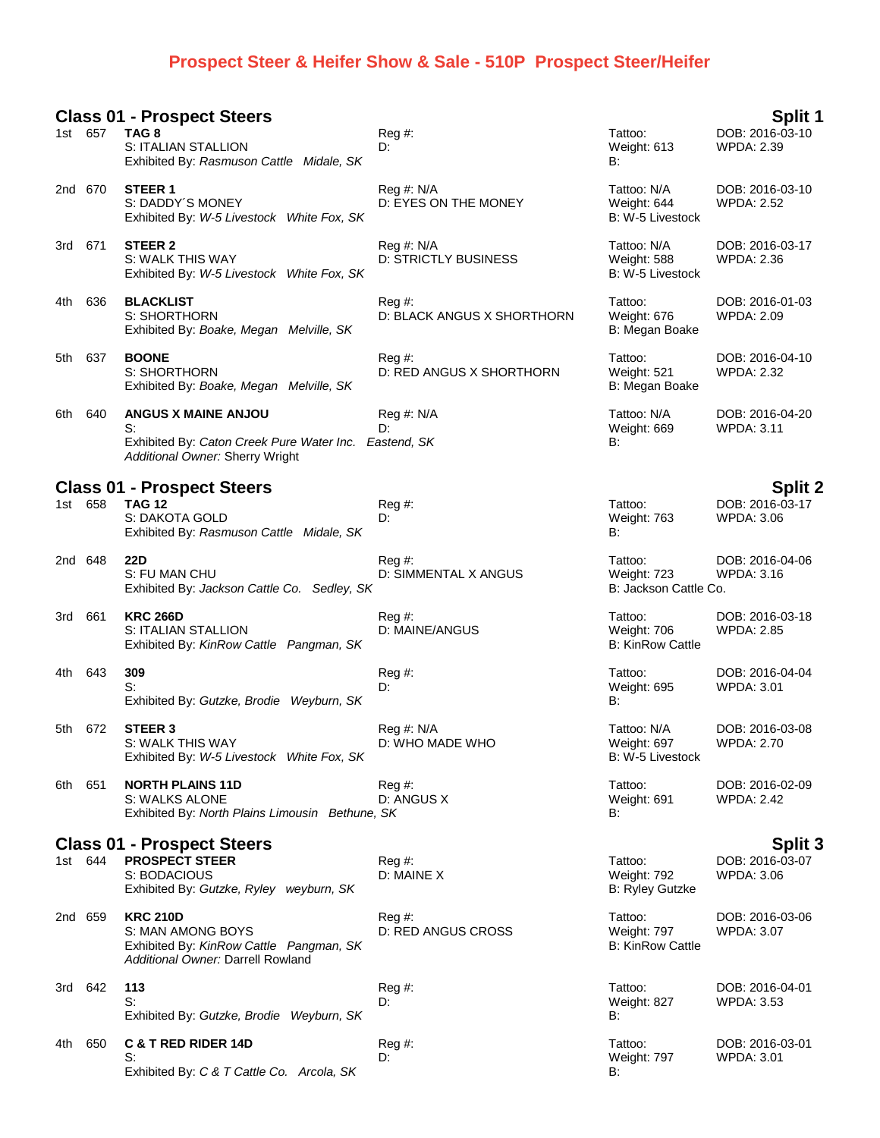## **Prospect Steer & Heifer Show & Sale - 510P Prospect Steer/Heifer**

## **Class 01 - Prospect Steers Split 1**

|         | 1st 657 | TAG 8<br>S: ITALIAN STALLION<br>Exhibited By: Rasmuson Cattle Midale, SK                                                     | Reg #:<br>D:                                    | Tattoo:<br>Weight: 613<br>B:                      | DOB: 2016-03-10<br><b>WPDA: 2.39</b> |
|---------|---------|------------------------------------------------------------------------------------------------------------------------------|-------------------------------------------------|---------------------------------------------------|--------------------------------------|
| 2nd 670 |         | STEER 1<br>S: DADDY'S MONEY<br>Exhibited By: W-5 Livestock White Fox, SK                                                     | Reg #: N/A<br>D: EYES ON THE MONEY              | Tattoo: N/A<br>Weight: 644<br>B: W-5 Livestock    | DOB: 2016-03-10<br><b>WPDA: 2.52</b> |
| 3rd 671 |         | STEER 2<br>S: WALK THIS WAY<br>Exhibited By: W-5 Livestock White Fox, SK                                                     | Reg #: N/A<br><b>D: STRICTLY BUSINESS</b>       | Tattoo: N/A<br>Weight: 588<br>B: W-5 Livestock    | DOB: 2016-03-17<br><b>WPDA: 2.36</b> |
| 4th     | 636     | <b>BLACKLIST</b><br>S: SHORTHORN<br>Exhibited By: Boake, Megan Melville, SK                                                  | $\text{Re}q \#$ :<br>D: BLACK ANGUS X SHORTHORN | Tattoo:<br>Weight: 676<br>B: Megan Boake          | DOB: 2016-01-03<br>WPDA: 2.09        |
| 5th     | 637     | <b>BOONE</b><br>S: SHORTHORN<br>Exhibited By: Boake, Megan Melville, SK                                                      | Reg#<br>D: RED ANGUS X SHORTHORN                | Tattoo:<br>Weight: 521<br>B: Megan Boake          | DOB: 2016-04-10<br><b>WPDA: 2.32</b> |
| 6th     | 640     | <b>ANGUS X MAINE ANJOU</b><br>S:<br>Exhibited By: Caton Creek Pure Water Inc. Eastend, SK<br>Additional Owner: Sherry Wright | Reg #: N/A<br>D:                                | Tattoo: N/A<br>Weight: 669<br>B:                  | DOB: 2016-04-20<br><b>WPDA: 3.11</b> |
|         |         | <b>Class 01 - Prospect Steers</b>                                                                                            |                                                 |                                                   | <b>Split 2</b>                       |
| 1st 658 |         | <b>TAG 12</b><br>S: DAKOTA GOLD<br>Exhibited By: Rasmuson Cattle Midale, SK                                                  | Reg#<br>D:                                      | Tattoo:<br>Weight: 763<br>B:                      | DOB: 2016-03-17<br><b>WPDA: 3.06</b> |
| 2nd 648 |         | 22D<br>S: FU MAN CHU<br>Exhibited By: Jackson Cattle Co. Sedley, SK                                                          | Reg #:<br>D: SIMMENTAL X ANGUS                  | Tattoo:<br>Weight: 723<br>B: Jackson Cattle Co.   | DOB: 2016-04-06<br><b>WPDA: 3.16</b> |
| 3rd -   | 661     | <b>KRC 266D</b><br>S: ITALIAN STALLION<br>Exhibited By: KinRow Cattle Pangman, SK                                            | Reg #:<br>D: MAINE/ANGUS                        | Tattoo:<br>Weight: 706<br><b>B: KinRow Cattle</b> | DOB: 2016-03-18<br><b>WPDA: 2.85</b> |
| 4th -   | 643     | 309<br>S:<br>Exhibited By: Gutzke, Brodie Weyburn, SK                                                                        | Reg#<br>D:                                      | Tattoo:<br>Weight: 695<br><b>B:</b>               | DOB: 2016-04-04<br><b>WPDA: 3.01</b> |
| 5th     | 672     | STEER 3<br>S: WALK THIS WAY<br>Exhibited By: W-5 Livestock White Fox, SK                                                     | Reg #: N/A<br>D: WHO MADE WHO                   | Tattoo: N/A<br>Weight: 697<br>B: W-5 Livestock    | DOB: 2016-03-08<br><b>WPDA: 2.70</b> |
| 6th     | 651     | <b>NORTH PLAINS 11D</b><br>S: WALKS ALONE<br>Exhibited By: North Plains Limousin Bethune, SK                                 | $Reg#$ :<br>D: ANGUS X                          | Tattoo:<br>Weight: 691<br>B:                      | DOB: 2016-02-09<br><b>WPDA: 2.42</b> |
|         |         | <b>Class 01 - Prospect Steers</b>                                                                                            |                                                 |                                                   | Split 3                              |
|         | 1st 644 | <b>PROSPECT STEER</b><br>S: BODACIOUS<br>Exhibited By: Gutzke, Ryley weyburn, SK                                             | Reg #:<br>D: MAINE X                            | Tattoo:<br>Weight: 792<br><b>B: Ryley Gutzke</b>  | DOB: 2016-03-07<br><b>WPDA: 3.06</b> |
|         | 2nd 659 | <b>KRC 210D</b><br>S: MAN AMONG BOYS<br>Exhibited By: KinRow Cattle Pangman, SK<br>Additional Owner: Darrell Rowland         | Reg#<br>D: RED ANGUS CROSS                      | Tattoo:<br>Weight: 797<br><b>B: KinRow Cattle</b> | DOB: 2016-03-06<br><b>WPDA: 3.07</b> |
| 3rd -   | 642     | 113<br>S:<br>Exhibited By: Gutzke, Brodie Weyburn, SK                                                                        | Reg#<br>D:                                      | Tattoo:<br>Weight: 827<br>В:                      | DOB: 2016-04-01<br><b>WPDA: 3.53</b> |
| 4th.    | 650     | <b>C &amp; T RED RIDER 14D</b><br>S:<br>Exhibited By: C & T Cattle Co. Arcola, SK                                            | Reg#<br>D:                                      | Tattoo:<br>Weight: 797<br>B:                      | DOB: 2016-03-01<br><b>WPDA: 3.01</b> |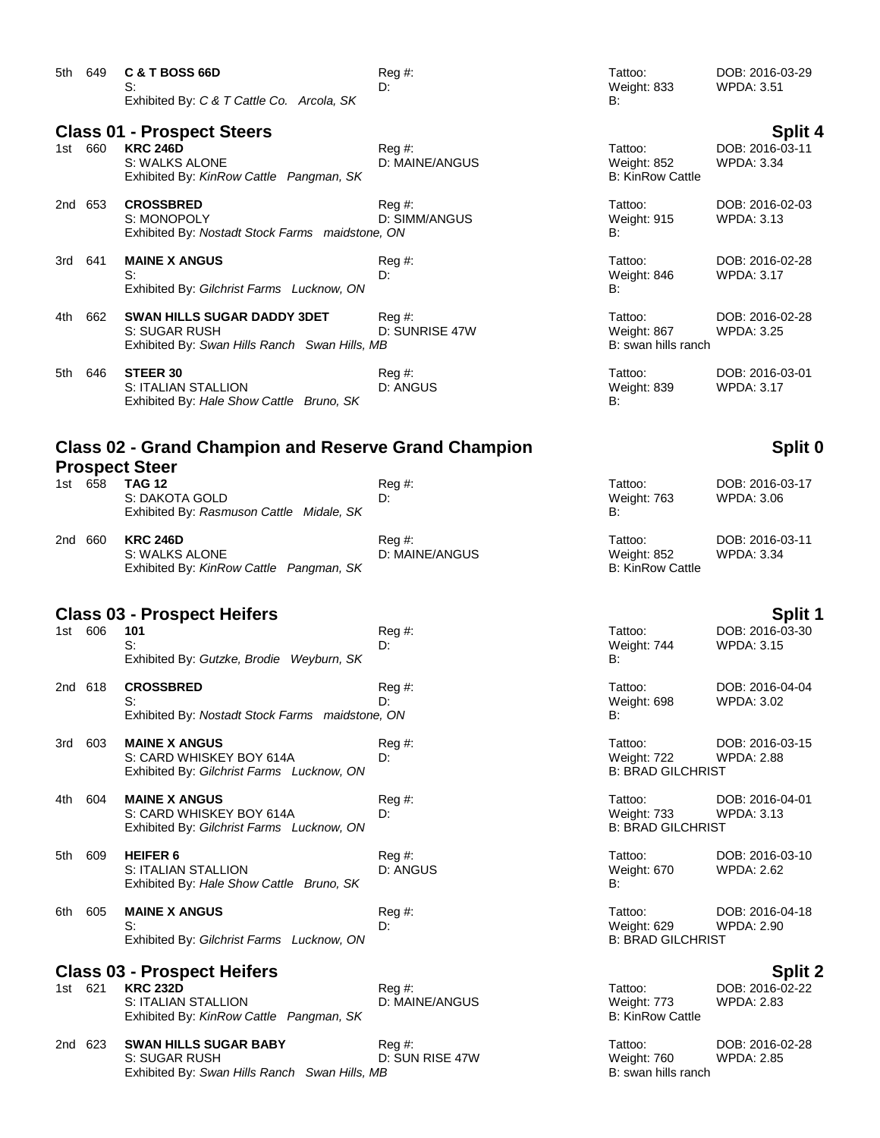| 5th     | 649                                                                                             | <b>C &amp; T BOSS 66D</b><br>S:<br>Exhibited By: C & T Cattle Co. Arcola, SK                   | Reg#<br>D:                 | Tattoo:<br>Weight: 833<br>В:                       | DOB: 2016-03-29<br><b>WPDA: 3.51</b> |  |  |  |
|---------|-------------------------------------------------------------------------------------------------|------------------------------------------------------------------------------------------------|----------------------------|----------------------------------------------------|--------------------------------------|--|--|--|
|         |                                                                                                 | <b>Class 01 - Prospect Steers</b>                                                              |                            |                                                    | <b>Split 4</b>                       |  |  |  |
|         | 1st 660                                                                                         | <b>KRC 246D</b><br>S: WALKS ALONE<br>Exhibited By: KinRow Cattle Pangman, SK                   | $Reg#$ :<br>D: MAINE/ANGUS | Tattoo:<br>Weight: 852<br><b>B: KinRow Cattle</b>  | DOB: 2016-03-11<br><b>WPDA: 3.34</b> |  |  |  |
|         | 2nd 653                                                                                         | <b>CROSSBRED</b><br>S: MONOPOLY<br>Exhibited By: Nostadt Stock Farms maidstone, ON             | $Reg#$ :<br>D: SIMM/ANGUS  | Tattoo:<br>Weight: 915<br>B:                       | DOB: 2016-02-03<br><b>WPDA: 3.13</b> |  |  |  |
| 3rd 641 |                                                                                                 | <b>MAINE X ANGUS</b><br>S:<br>Exhibited By: Gilchrist Farms Lucknow, ON                        | Reg#<br>D:                 | Tattoo:<br>Weight: 846<br>B:                       | DOB: 2016-02-28<br><b>WPDA: 3.17</b> |  |  |  |
| 4th.    | 662                                                                                             | SWAN HILLS SUGAR DADDY 3DET<br>S: SUGAR RUSH<br>Exhibited By: Swan Hills Ranch Swan Hills, MB  | Reg#<br>D: SUNRISE 47W     | Tattoo:<br>Weight: 867<br>B: swan hills ranch      | DOB: 2016-02-28<br><b>WPDA: 3.25</b> |  |  |  |
| 5th     | 646                                                                                             | STEER 30<br>S: ITALIAN STALLION<br>Exhibited By: Hale Show Cattle Bruno, SK                    | Reg#<br>D: ANGUS           | Tattoo:<br>Weight: 839<br>B:                       | DOB: 2016-03-01<br>WPDA: 3.17        |  |  |  |
|         | Split 0<br><b>Class 02 - Grand Champion and Reserve Grand Champion</b><br><b>Prospect Steer</b> |                                                                                                |                            |                                                    |                                      |  |  |  |
|         | 1st 658                                                                                         | <b>TAG 12</b><br>S: DAKOTA GOLD<br>Exhibited By: Rasmuson Cattle Midale, SK                    | Reg#<br>D:                 | Tattoo:<br>Weight: 763<br>B:                       | DOB: 2016-03-17<br><b>WPDA: 3.06</b> |  |  |  |
|         | 2nd 660                                                                                         | <b>KRC 246D</b><br>S: WALKS ALONE<br>Exhibited By: KinRow Cattle Pangman, SK                   | Reg#<br>D: MAINE/ANGUS     | Tattoo:<br>Weight: 852<br><b>B: KinRow Cattle</b>  | DOB: 2016-03-11<br><b>WPDA: 3.34</b> |  |  |  |
|         | <b>Class 03 - Prospect Heifers</b><br><b>Split 1</b>                                            |                                                                                                |                            |                                                    |                                      |  |  |  |
| 1st 606 |                                                                                                 | 101<br>S:<br>Exhibited By: Gutzke, Brodie Weyburn, SK                                          | Reg#<br>D:                 | Tattoo:<br>Weight: 744<br>B:                       | DOB: 2016-03-30<br><b>WPDA: 3.15</b> |  |  |  |
| 2nd 618 |                                                                                                 | <b>CROSSBRED</b><br>Exhibited By: Nostadt Stock Farms maidstone, ON                            | Reg#<br>D:                 | Tattoo:<br>Weight: 698<br>В:                       | DOB: 2016-04-04<br>WPDA: 3.02        |  |  |  |
| 3rd     | 603                                                                                             | <b>MAINE X ANGUS</b><br>S: CARD WHISKEY BOY 614A<br>Exhibited By: Gilchrist Farms Lucknow, ON  | Reg#<br>D:                 | Tattoo:<br>Weight: 722<br><b>B: BRAD GILCHRIST</b> | DOB: 2016-03-15<br><b>WPDA: 2.88</b> |  |  |  |
| 4th     | 604                                                                                             | <b>MAINE X ANGUS</b><br>S: CARD WHISKEY BOY 614A<br>Exhibited By: Gilchrist Farms Lucknow, ON  | Reg#<br>D:                 | Tattoo:<br>Weight: 733<br><b>B: BRAD GILCHRIST</b> | DOB: 2016-04-01<br><b>WPDA: 3.13</b> |  |  |  |
| 5th     | 609                                                                                             | <b>HEIFER 6</b><br>S: ITALIAN STALLION<br>Exhibited By: Hale Show Cattle Bruno, SK             | Reg#<br>D: ANGUS           | Tattoo:<br>Weight: 670<br>B:                       | DOB: 2016-03-10<br><b>WPDA: 2.62</b> |  |  |  |
| 6th     | 605                                                                                             | <b>MAINE X ANGUS</b><br>S:<br>Exhibited By: Gilchrist Farms Lucknow, ON                        | Reg#<br>D:                 | Tattoo:<br>Weight: 629<br><b>B: BRAD GILCHRIST</b> | DOB: 2016-04-18<br><b>WPDA: 2.90</b> |  |  |  |
|         |                                                                                                 | <b>Class 03 - Prospect Heifers</b>                                                             |                            |                                                    | <b>Split 2</b>                       |  |  |  |
| 1st 621 |                                                                                                 | <b>KRC 232D</b><br>S: ITALIAN STALLION<br>Exhibited By: KinRow Cattle Pangman, SK              | Reg#<br>D: MAINE/ANGUS     | Tattoo:<br>Weight: 773<br><b>B: KinRow Cattle</b>  | DOB: 2016-02-22<br><b>WPDA: 2.83</b> |  |  |  |
|         | 2nd 623                                                                                         | <b>SWAN HILLS SUGAR BABY</b><br>S: SUGAR RUSH<br>Exhibited By: Swan Hills Ranch Swan Hills, MB | Reg #:<br>D: SUN RISE 47W  | Tattoo:<br>Weight: 760<br>B: swan hills ranch      | DOB: 2016-02-28<br><b>WPDA: 2.85</b> |  |  |  |